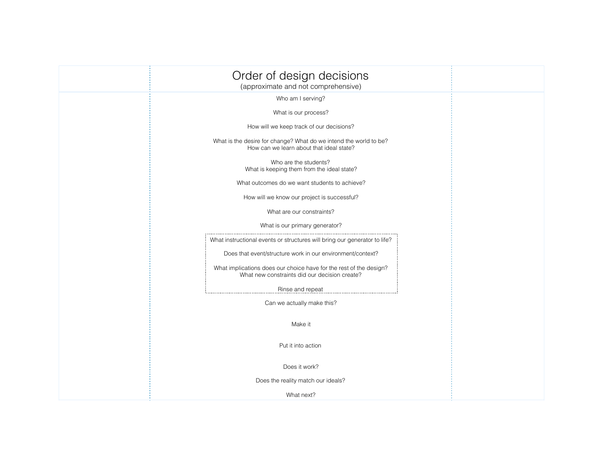| Order of design decisions<br>(approximate and not comprehensive)                                                    |  |
|---------------------------------------------------------------------------------------------------------------------|--|
| Who am I serving?                                                                                                   |  |
| What is our process?                                                                                                |  |
| How will we keep track of our decisions?                                                                            |  |
| What is the desire for change? What do we intend the world to be?<br>How can we learn about that ideal state?       |  |
| Who are the students?<br>What is keeping them from the ideal state?                                                 |  |
| What outcomes do we want students to achieve?                                                                       |  |
| How will we know our project is successful?                                                                         |  |
| What are our constraints?                                                                                           |  |
| What is our primary generator?                                                                                      |  |
| What instructional events or structures will bring our generator to life?                                           |  |
| Does that event/structure work in our environment/context?                                                          |  |
| What implications does our choice have for the rest of the design?<br>What new constraints did our decision create? |  |
| Rinse and repeat                                                                                                    |  |
| Can we actually make this?                                                                                          |  |
| Make it                                                                                                             |  |
| Put it into action                                                                                                  |  |
| Does it work?                                                                                                       |  |
| Does the reality match our ideals?                                                                                  |  |
| What next?                                                                                                          |  |
|                                                                                                                     |  |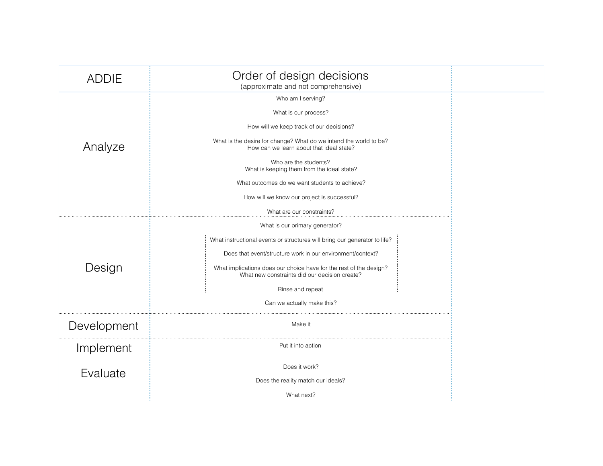| <b>ADDIE</b> | Order of design decisions<br>(approximate and not comprehensive)                                                                                                                                                                                                                                                                                   |  |
|--------------|----------------------------------------------------------------------------------------------------------------------------------------------------------------------------------------------------------------------------------------------------------------------------------------------------------------------------------------------------|--|
| Analyze      | Who am I serving?<br>What is our process?<br>How will we keep track of our decisions?<br>What is the desire for change? What do we intend the world to be?<br>How can we learn about that ideal state?<br>Who are the students?<br>What is keeping them from the ideal state?                                                                      |  |
|              | What outcomes do we want students to achieve?<br>How will we know our project is successful?<br>What are our constraints?                                                                                                                                                                                                                          |  |
| Design       | What is our primary generator?<br>What instructional events or structures will bring our generator to life?<br>Does that event/structure work in our environment/context?<br>What implications does our choice have for the rest of the design?<br>What new constraints did our decision create?<br>Rinse and repeat<br>Can we actually make this? |  |
| Development  | Make it                                                                                                                                                                                                                                                                                                                                            |  |
| Implement    | Put it into action                                                                                                                                                                                                                                                                                                                                 |  |
| Evaluate     | Does it work?<br>Does the reality match our ideals?                                                                                                                                                                                                                                                                                                |  |
|              | What next?                                                                                                                                                                                                                                                                                                                                         |  |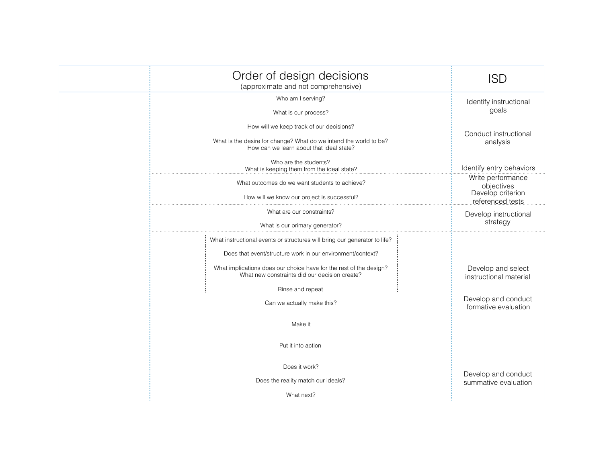| Order of design decisions<br>(approximate and not comprehensive)                                                                                                                                                                                                                                                                                  | <b>ISD</b>                                                                                  |
|---------------------------------------------------------------------------------------------------------------------------------------------------------------------------------------------------------------------------------------------------------------------------------------------------------------------------------------------------|---------------------------------------------------------------------------------------------|
| Who am I serving?<br>What is our process?                                                                                                                                                                                                                                                                                                         | Identify instructional<br>goals                                                             |
| How will we keep track of our decisions?<br>What is the desire for change? What do we intend the world to be?<br>How can we learn about that ideal state?                                                                                                                                                                                         | Conduct instructional<br>analysis                                                           |
| Who are the students?<br>What is keeping them from the ideal state?                                                                                                                                                                                                                                                                               | Identify entry behaviors                                                                    |
| What outcomes do we want students to achieve?<br>How will we know our project is successful?                                                                                                                                                                                                                                                      | Write performance<br>objectives<br>Develop criterion<br>referenced tests                    |
| What are our constraints?<br>What is our primary generator?                                                                                                                                                                                                                                                                                       | Develop instructional<br>strategy                                                           |
| What instructional events or structures will bring our generator to life?<br>Does that event/structure work in our environment/context?<br>What implications does our choice have for the rest of the design?<br>What new constraints did our decision create?<br>Rinse and repeat<br>Can we actually make this?<br>Make it<br>Put it into action | Develop and select<br>instructional material<br>Develop and conduct<br>formative evaluation |
| Does it work?<br>Does the reality match our ideals?<br>What next?                                                                                                                                                                                                                                                                                 | Develop and conduct<br>summative evaluation                                                 |